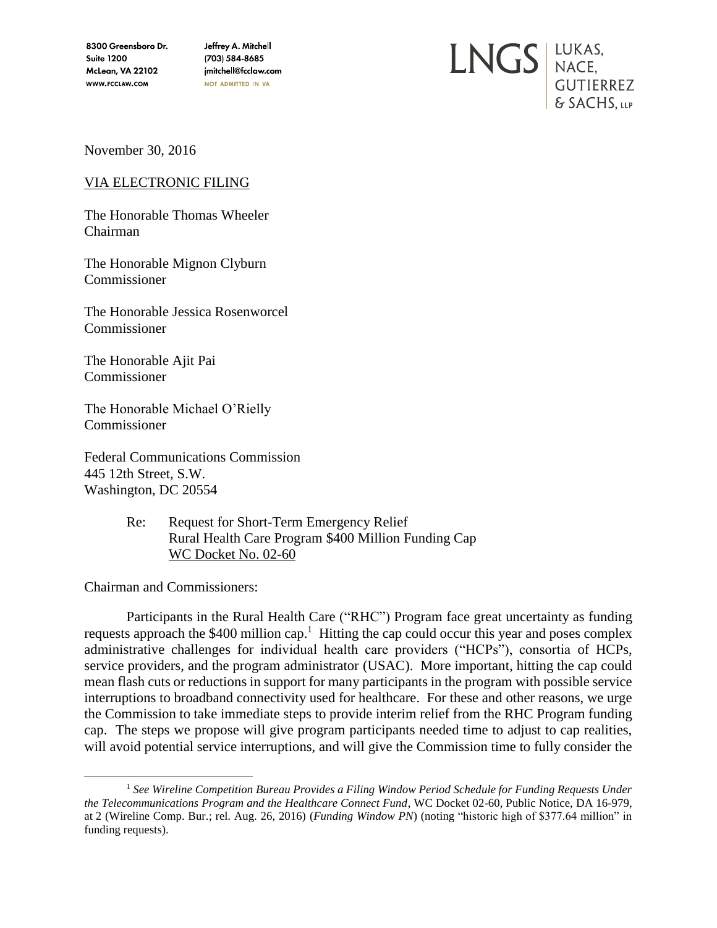8300 Greensboro Dr. **Suite 1200** McLean, VA 22102 WWW.FCCLAW.COM

Jeffrey A. Mitchell (703) 584-8685 jmitchell@fcclaw.com NOT ADMITTED IN VA



November 30, 2016

VIA ELECTRONIC FILING

The Honorable Thomas Wheeler Chairman

The Honorable Mignon Clyburn Commissioner

The Honorable Jessica Rosenworcel Commissioner

The Honorable Ajit Pai Commissioner

The Honorable Michael O'Rielly Commissioner

Federal Communications Commission 445 12th Street, S.W. Washington, DC 20554

> Re: Request for Short-Term Emergency Relief Rural Health Care Program \$400 Million Funding Cap WC Docket No. 02-60

Chairman and Commissioners:

Participants in the Rural Health Care ("RHC") Program face great uncertainty as funding requests approach the \$400 million cap.<sup>1</sup> Hitting the cap could occur this year and poses complex administrative challenges for individual health care providers ("HCPs"), consortia of HCPs, service providers, and the program administrator (USAC). More important, hitting the cap could mean flash cuts or reductions in support for many participants in the program with possible service interruptions to broadband connectivity used for healthcare. For these and other reasons, we urge the Commission to take immediate steps to provide interim relief from the RHC Program funding cap. The steps we propose will give program participants needed time to adjust to cap realities, will avoid potential service interruptions, and will give the Commission time to fully consider the

 $\overline{a}$ <sup>1</sup> *See Wireline Competition Bureau Provides a Filing Window Period Schedule for Funding Requests Under the Telecommunications Program and the Healthcare Connect Fund*, WC Docket 02-60, Public Notice, DA 16-979, at 2 (Wireline Comp. Bur.; rel. Aug. 26, 2016) (*Funding Window PN*) (noting "historic high of \$377.64 million" in funding requests).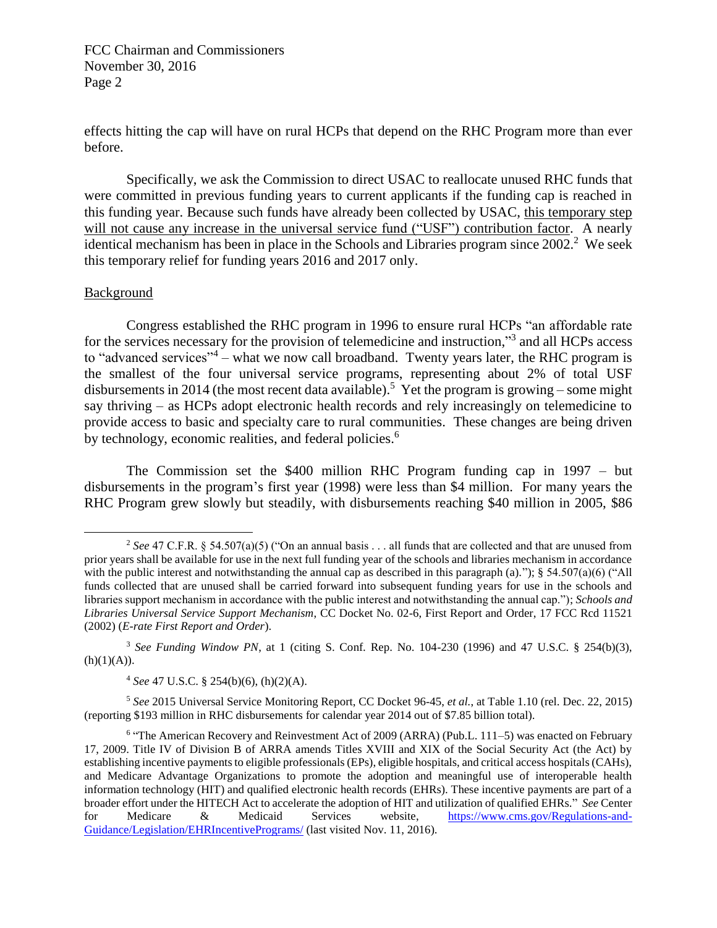effects hitting the cap will have on rural HCPs that depend on the RHC Program more than ever before.

Specifically, we ask the Commission to direct USAC to reallocate unused RHC funds that were committed in previous funding years to current applicants if the funding cap is reached in this funding year. Because such funds have already been collected by USAC, this temporary step will not cause any increase in the universal service fund ("USF") contribution factor. A nearly identical mechanism has been in place in the Schools and Libraries program since 2002.<sup>2</sup> We seek this temporary relief for funding years 2016 and 2017 only.

## Background

 $\overline{a}$ 

Congress established the RHC program in 1996 to ensure rural HCPs "an affordable rate for the services necessary for the provision of telemedicine and instruction,"<sup>3</sup> and all HCPs access to "advanced services"<sup>4</sup> – what we now call broadband. Twenty years later, the RHC program is the smallest of the four universal service programs, representing about 2% of total USF disbursements in 2014 (the most recent data available).<sup>5</sup> Yet the program is growing – some might say thriving – as HCPs adopt electronic health records and rely increasingly on telemedicine to provide access to basic and specialty care to rural communities. These changes are being driven by technology, economic realities, and federal policies.<sup>6</sup>

The Commission set the \$400 million RHC Program funding cap in 1997 – but disbursements in the program's first year (1998) were less than \$4 million. For many years the RHC Program grew slowly but steadily, with disbursements reaching \$40 million in 2005, \$86

<sup>5</sup> *See* 2015 Universal Service Monitoring Report, CC Docket 96-45, *et al.*, at Table 1.10 (rel. Dec. 22, 2015) (reporting \$193 million in RHC disbursements for calendar year 2014 out of \$7.85 billion total).

<sup>&</sup>lt;sup>2</sup> See 47 C.F.R. § 54.507(a)(5) ("On an annual basis . . . all funds that are collected and that are unused from prior years shall be available for use in the next full funding year of the schools and libraries mechanism in accordance with the public interest and notwithstanding the annual cap as described in this paragraph (a).");  $\S$  54.507(a)(6) ("All funds collected that are unused shall be carried forward into subsequent funding years for use in the schools and libraries support mechanism in accordance with the public interest and notwithstanding the annual cap."); *Schools and Libraries Universal Service Support Mechanism*, CC Docket No. 02-6, First Report and Order, 17 FCC Rcd 11521 (2002) (*E-rate First Report and Order*).

<sup>3</sup> *See Funding Window PN*, at 1 (citing S. Conf. Rep. No. 104-230 (1996) and 47 U.S.C. § 254(b)(3),  $(h)(1)(A)).$ 

<sup>4</sup> *See* 47 U.S.C. § 254(b)(6), (h)(2)(A).

<sup>&</sup>lt;sup>6</sup> "The American Recovery and Reinvestment Act of 2009 (ARRA) (Pub.L. 111-5) was enacted on February 17, 2009. Title IV of Division B of ARRA amends Titles XVIII and XIX of the Social Security Act (the Act) by establishing incentive payments to eligible professionals (EPs), eligible hospitals, and critical access hospitals (CAHs), and Medicare Advantage Organizations to promote the adoption and meaningful use of interoperable health information technology (HIT) and qualified electronic health records (EHRs). These incentive payments are part of a broader effort under the HITECH Act to accelerate the adoption of HIT and utilization of qualified EHRs." *See* Center for Medicare & Medicaid Services website, [https://www.cms.gov/Regulations-and-](https://www.cms.gov/Regulations-and-Guidance/Legislation/EHRIncentivePrograms/)[Guidance/Legislation/EHRIncentivePrograms/](https://www.cms.gov/Regulations-and-Guidance/Legislation/EHRIncentivePrograms/) (last visited Nov. 11, 2016).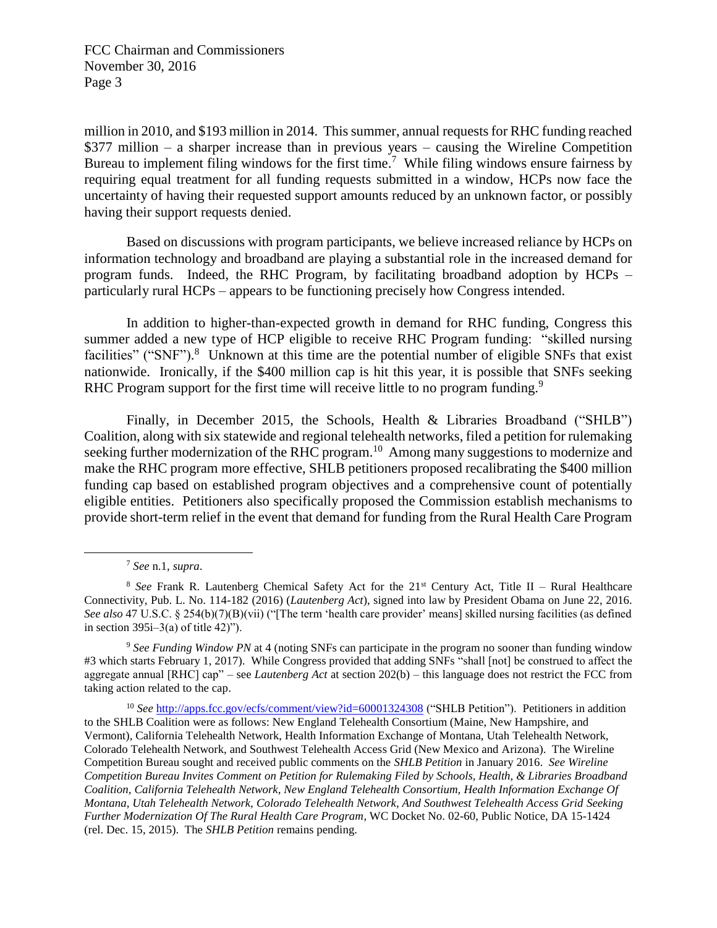million in 2010, and \$193 million in 2014. This summer, annual requests for RHC funding reached \$377 million – a sharper increase than in previous years – causing the Wireline Competition Bureau to implement filing windows for the first time.<sup>7</sup> While filing windows ensure fairness by requiring equal treatment for all funding requests submitted in a window, HCPs now face the uncertainty of having their requested support amounts reduced by an unknown factor, or possibly having their support requests denied.

Based on discussions with program participants, we believe increased reliance by HCPs on information technology and broadband are playing a substantial role in the increased demand for program funds. Indeed, the RHC Program, by facilitating broadband adoption by HCPs – particularly rural HCPs – appears to be functioning precisely how Congress intended.

In addition to higher-than-expected growth in demand for RHC funding, Congress this summer added a new type of HCP eligible to receive RHC Program funding: "skilled nursing facilities" ("SNF").<sup>8</sup> Unknown at this time are the potential number of eligible SNFs that exist nationwide. Ironically, if the \$400 million cap is hit this year, it is possible that SNFs seeking RHC Program support for the first time will receive little to no program funding.<sup>9</sup>

Finally, in December 2015, the Schools, Health & Libraries Broadband ("SHLB") Coalition, along with six statewide and regional telehealth networks, filed a petition for rulemaking seeking further modernization of the RHC program.<sup>10</sup> Among many suggestions to modernize and make the RHC program more effective, SHLB petitioners proposed recalibrating the \$400 million funding cap based on established program objectives and a comprehensive count of potentially eligible entities. Petitioners also specifically proposed the Commission establish mechanisms to provide short-term relief in the event that demand for funding from the Rural Health Care Program

 $\overline{a}$ 

<sup>7</sup> *See* n.1, *supra*.

<sup>&</sup>lt;sup>8</sup> See Frank R. Lautenberg Chemical Safety Act for the 21<sup>st</sup> Century Act, Title II – Rural Healthcare Connectivity, Pub. L. No. 114-182 (2016) (*Lautenberg Act*), signed into law by President Obama on June 22, 2016. *See also* 47 U.S.C. § 254(b)(7)(B)(vii) ("[The term 'health care provider' means] skilled nursing facilities (as defined in section  $395i-3(a)$  of title 42)").

<sup>9</sup> *See Funding Window PN* at 4 (noting SNFs can participate in the program no sooner than funding window #3 which starts February 1, 2017). While Congress provided that adding SNFs "shall [not] be construed to affect the aggregate annual [RHC] cap" – see *Lautenberg Act* at section 202(b) – this language does not restrict the FCC from taking action related to the cap.

<sup>10</sup> *See* <http://apps.fcc.gov/ecfs/comment/view?id=60001324308> ("SHLB Petition"). Petitioners in addition to the SHLB Coalition were as follows: New England Telehealth Consortium (Maine, New Hampshire, and Vermont), California Telehealth Network, Health Information Exchange of Montana, Utah Telehealth Network, Colorado Telehealth Network, and Southwest Telehealth Access Grid (New Mexico and Arizona). The Wireline Competition Bureau sought and received public comments on the *SHLB Petition* in January 2016. *See Wireline Competition Bureau Invites Comment on Petition for Rulemaking Filed by Schools, Health, & Libraries Broadband Coalition, California Telehealth Network, New England Telehealth Consortium, Health Information Exchange Of Montana, Utah Telehealth Network, Colorado Telehealth Network, And Southwest Telehealth Access Grid Seeking Further Modernization Of The Rural Health Care Program*, WC Docket No. 02-60, Public Notice, DA 15-1424 (rel. Dec. 15, 2015). The *SHLB Petition* remains pending.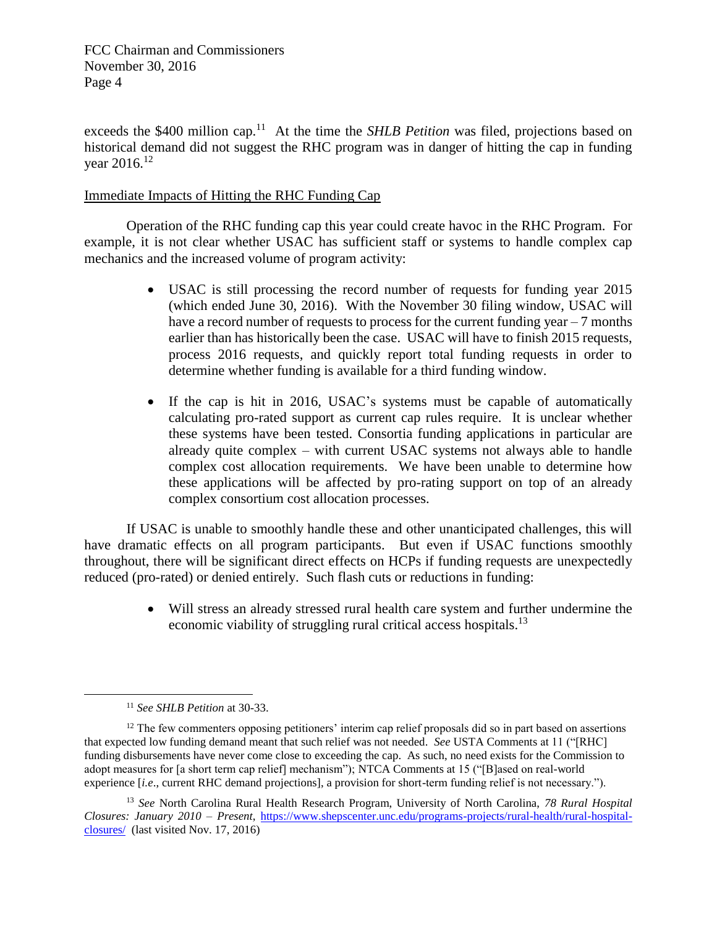exceeds the \$400 million cap.<sup>11</sup> At the time the *SHLB Petition* was filed, projections based on historical demand did not suggest the RHC program was in danger of hitting the cap in funding vear  $2016^{12}$ 

## Immediate Impacts of Hitting the RHC Funding Cap

Operation of the RHC funding cap this year could create havoc in the RHC Program. For example, it is not clear whether USAC has sufficient staff or systems to handle complex cap mechanics and the increased volume of program activity:

- USAC is still processing the record number of requests for funding year 2015 (which ended June 30, 2016). With the November 30 filing window, USAC will have a record number of requests to process for the current funding year – 7 months earlier than has historically been the case. USAC will have to finish 2015 requests, process 2016 requests, and quickly report total funding requests in order to determine whether funding is available for a third funding window.
- If the cap is hit in 2016, USAC's systems must be capable of automatically calculating pro-rated support as current cap rules require. It is unclear whether these systems have been tested. Consortia funding applications in particular are already quite complex – with current USAC systems not always able to handle complex cost allocation requirements. We have been unable to determine how these applications will be affected by pro-rating support on top of an already complex consortium cost allocation processes.

If USAC is unable to smoothly handle these and other unanticipated challenges, this will have dramatic effects on all program participants. But even if USAC functions smoothly throughout, there will be significant direct effects on HCPs if funding requests are unexpectedly reduced (pro-rated) or denied entirely. Such flash cuts or reductions in funding:

> Will stress an already stressed rural health care system and further undermine the economic viability of struggling rural critical access hospitals.<sup>13</sup>

 $\overline{a}$ 

<sup>11</sup> *See SHLB Petition* at 30-33.

<sup>&</sup>lt;sup>12</sup> The few commenters opposing petitioners' interim cap relief proposals did so in part based on assertions that expected low funding demand meant that such relief was not needed. *See* USTA Comments at 11 ("[RHC] funding disbursements have never come close to exceeding the cap. As such, no need exists for the Commission to adopt measures for [a short term cap relief] mechanism"); NTCA Comments at 15 ("[B]ased on real-world experience [*i.e*., current RHC demand projections], a provision for short-term funding relief is not necessary.").

<sup>13</sup> *See* North Carolina Rural Health Research Program, University of North Carolina, *78 Rural Hospital Closures: January 2010 – Present*, [https://www.shepscenter.unc.edu/programs-projects/rural-health/rural-hospital](https://www.shepscenter.unc.edu/programs-projects/rural-health/rural-hospital-closures/)[closures/](https://www.shepscenter.unc.edu/programs-projects/rural-health/rural-hospital-closures/) (last visited Nov. 17, 2016)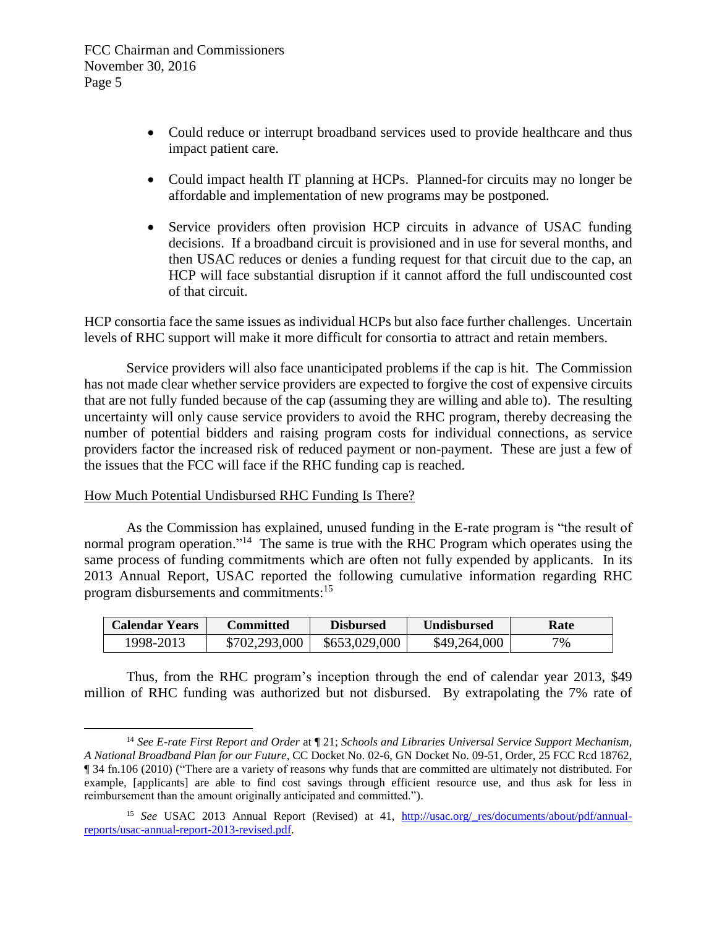- Could reduce or interrupt broadband services used to provide healthcare and thus impact patient care.
- Could impact health IT planning at HCPs. Planned-for circuits may no longer be affordable and implementation of new programs may be postponed.
- Service providers often provision HCP circuits in advance of USAC funding decisions. If a broadband circuit is provisioned and in use for several months, and then USAC reduces or denies a funding request for that circuit due to the cap, an HCP will face substantial disruption if it cannot afford the full undiscounted cost of that circuit.

HCP consortia face the same issues as individual HCPs but also face further challenges. Uncertain levels of RHC support will make it more difficult for consortia to attract and retain members.

Service providers will also face unanticipated problems if the cap is hit. The Commission has not made clear whether service providers are expected to forgive the cost of expensive circuits that are not fully funded because of the cap (assuming they are willing and able to). The resulting uncertainty will only cause service providers to avoid the RHC program, thereby decreasing the number of potential bidders and raising program costs for individual connections, as service providers factor the increased risk of reduced payment or non-payment. These are just a few of the issues that the FCC will face if the RHC funding cap is reached.

## How Much Potential Undisbursed RHC Funding Is There?

 $\overline{a}$ 

As the Commission has explained, unused funding in the E-rate program is "the result of normal program operation."<sup>14</sup> The same is true with the RHC Program which operates using the same process of funding commitments which are often not fully expended by applicants. In its 2013 Annual Report, USAC reported the following cumulative information regarding RHC program disbursements and commitments:<sup>15</sup>

| Calendar Years | Committed     | <b>Disbursed</b> | <b>Undisbursed</b> | Rate |
|----------------|---------------|------------------|--------------------|------|
| 1998-2013      | \$702,293,000 | \$653,029,000    | \$49,264,000       | 7%   |

Thus, from the RHC program's inception through the end of calendar year 2013, \$49 million of RHC funding was authorized but not disbursed. By extrapolating the 7% rate of

<sup>14</sup> *See E-rate First Report and Order* at ¶ 21; *Schools and Libraries Universal Service Support Mechanism, A National Broadband Plan for our Future*, CC Docket No. 02-6, GN Docket No. 09-51, Order, 25 FCC Rcd 18762, ¶ 34 fn.106 (2010) ("There are a variety of reasons why funds that are committed are ultimately not distributed. For example, [applicants] are able to find cost savings through efficient resource use, and thus ask for less in reimbursement than the amount originally anticipated and committed.").

<sup>&</sup>lt;sup>15</sup> *See* USAC 2013 Annual Report (Revised) at 41, http://usac.org/ res/documents/about/pdf/annual[reports/usac-annual-report-2013-revised.pdf.](http://usac.org/_res/documents/about/pdf/annual-reports/usac-annual-report-2013-revised.pdf)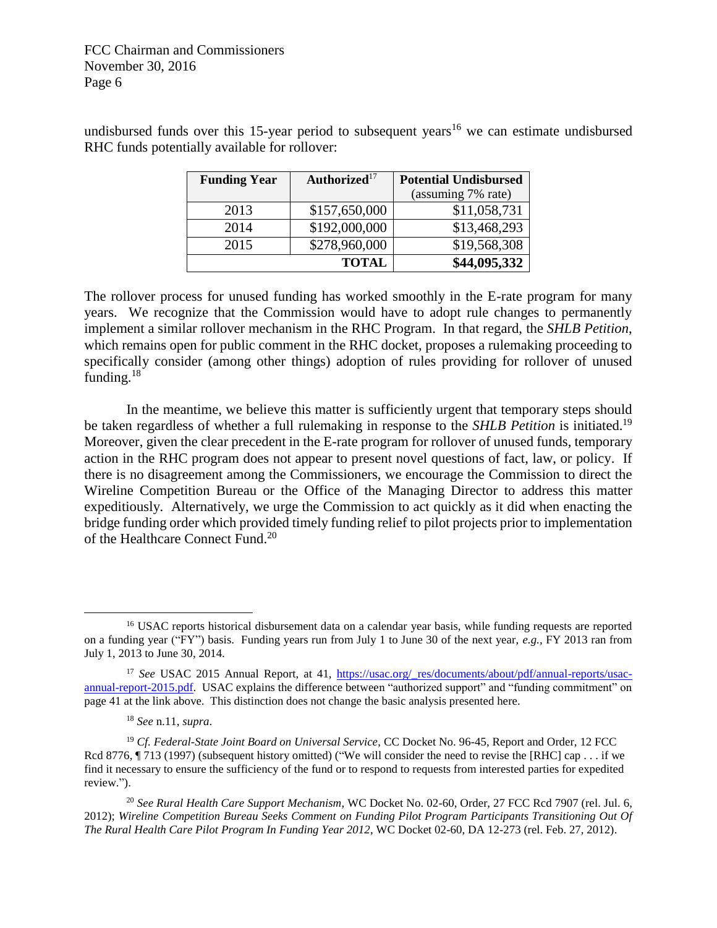| <b>Funding Year</b> | Authorized <sup>17</sup> | <b>Potential Undisbursed</b> |  |
|---------------------|--------------------------|------------------------------|--|
|                     |                          | (assuming 7% rate)           |  |
| 2013                | \$157,650,000            | \$11,058,731                 |  |
| 2014                | \$192,000,000            | \$13,468,293                 |  |
| 2015                | \$278,960,000            | \$19,568,308                 |  |
|                     | \$44,095,332             |                              |  |

undisbursed funds over this 15-year period to subsequent years<sup>16</sup> we can estimate undisbursed RHC funds potentially available for rollover:

The rollover process for unused funding has worked smoothly in the E-rate program for many years. We recognize that the Commission would have to adopt rule changes to permanently implement a similar rollover mechanism in the RHC Program. In that regard, the *SHLB Petition*, which remains open for public comment in the RHC docket, proposes a rulemaking proceeding to specifically consider (among other things) adoption of rules providing for rollover of unused funding.<sup>18</sup>

In the meantime, we believe this matter is sufficiently urgent that temporary steps should be taken regardless of whether a full rulemaking in response to the *SHLB Petition* is initiated.<sup>19</sup> Moreover, given the clear precedent in the E-rate program for rollover of unused funds, temporary action in the RHC program does not appear to present novel questions of fact, law, or policy. If there is no disagreement among the Commissioners, we encourage the Commission to direct the Wireline Competition Bureau or the Office of the Managing Director to address this matter expeditiously. Alternatively, we urge the Commission to act quickly as it did when enacting the bridge funding order which provided timely funding relief to pilot projects prior to implementation of the Healthcare Connect Fund.<sup>20</sup>

 $\overline{a}$ 

<sup>&</sup>lt;sup>16</sup> USAC reports historical disbursement data on a calendar year basis, while funding requests are reported on a funding year ("FY") basis. Funding years run from July 1 to June 30 of the next year, *e.g.,* FY 2013 ran from July 1, 2013 to June 30, 2014.

<sup>&</sup>lt;sup>17</sup> *See* USAC 2015 Annual Report, at 41, https://usac.org/ res/documents/about/pdf/annual-reports/usac[annual-report-2015.pdf.](https://usac.org/_res/documents/about/pdf/annual-reports/usac-annual-report-2015.pdf) USAC explains the difference between "authorized support" and "funding commitment" on page 41 at the link above. This distinction does not change the basic analysis presented here.

<sup>18</sup> *See* n.11, *supra*.

<sup>&</sup>lt;sup>19</sup> Cf. Federal-State Joint Board on Universal Service, CC Docket No. 96-45, Report and Order, 12 FCC Rcd 8776, ¶ 713 (1997) (subsequent history omitted) ("We will consider the need to revise the [RHC] cap . . . if we find it necessary to ensure the sufficiency of the fund or to respond to requests from interested parties for expedited review.").

<sup>20</sup> *See Rural Health Care Support Mechanism*, WC Docket No. 02-60, Order, 27 FCC Rcd 7907 (rel. Jul. 6, 2012); *Wireline Competition Bureau Seeks Comment on Funding Pilot Program Participants Transitioning Out Of The Rural Health Care Pilot Program In Funding Year 2012*, WC Docket 02-60, DA 12-273 (rel. Feb. 27, 2012).